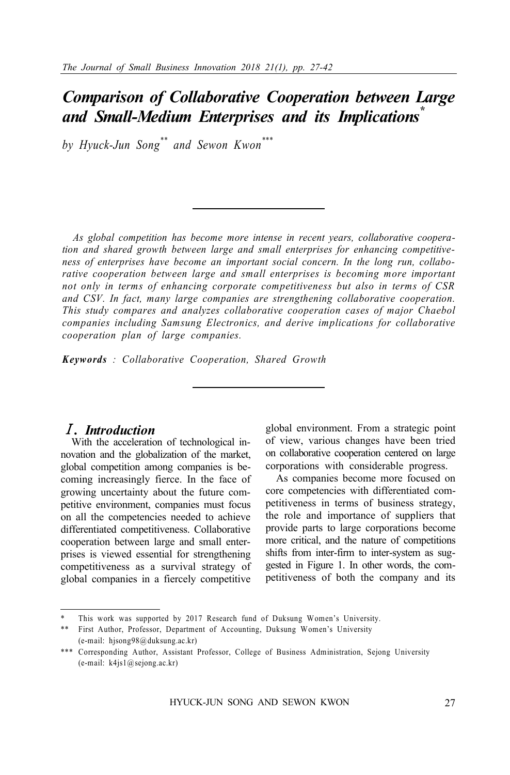*Comparison of Collaborative Cooperation between Large and Small-Medium Enterprises and its Implications\**

*by Hyuck-Jun Song\*\* and Sewon Kwon\*\*\**

*As global competition has become more intense in recent years, collaborative cooperation and shared growth between large and small enterprises for enhancing competitiveness of enterprises have become an important social concern. In the long run, collaborative cooperation between large and small enterprises is becoming more important not only in terms of enhancing corporate competitiveness but also in terms of CSR and CSV. In fact, many large companies are strengthening collaborative cooperation. This study compares and analyzes collaborative cooperation cases of major Chaebol companies including Samsung Electronics, and derive implications for collaborative cooperation plan of large companies.*

*Keywords : Collaborative Cooperation, Shared Growth*

# Ⅰ*. Introduction*

With the acceleration of technological innovation and the globalization of the market, global competition among companies is becoming increasingly fierce. In the face of growing uncertainty about the future competitive environment, companies must focus on all the competencies needed to achieve differentiated competitiveness. Collaborative cooperation between large and small enterprises is viewed essential for strengthening competitiveness as a survival strategy of global companies in a fiercely competitive

global environment. From a strategic point of view, various changes have been tried on collaborative cooperation centered on large corporations with considerable progress.

As companies become more focused on core competencies with differentiated competitiveness in terms of business strategy, the role and importance of suppliers that provide parts to large corporations become more critical, and the nature of competitions shifts from inter-firm to inter-system as suggested in Figure 1. In other words, the competitiveness of both the company and its

This work was supported by 2017 Research fund of Duksung Women's University.

<sup>\*\*</sup> First Author, Professor, Department of Accounting, Duksung Women's University (e-mail: hjsong98@duksung.ac.kr)

<sup>\*\*\*</sup> Corresponding Author, Assistant Professor, College of Business Administration, Sejong University (e-mail: k4js1@sejong.ac.kr)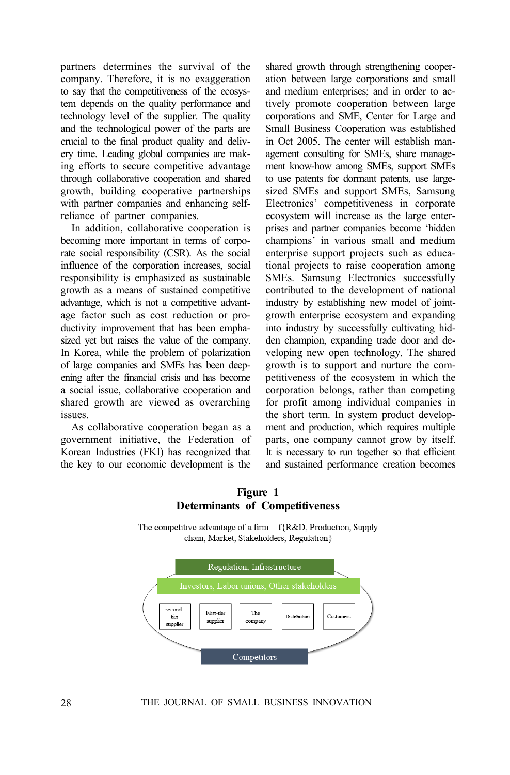partners determines the survival of the company. Therefore, it is no exaggeration to say that the competitiveness of the ecosystem depends on the quality performance and technology level of the supplier. The quality and the technological power of the parts are crucial to the final product quality and delivery time. Leading global companies are making efforts to secure competitive advantage through collaborative cooperation and shared growth, building cooperative partnerships with partner companies and enhancing selfreliance of partner companies.

In addition, collaborative cooperation is becoming more important in terms of corporate social responsibility (CSR). As the social influence of the corporation increases, social responsibility is emphasized as sustainable growth as a means of sustained competitive advantage, which is not a competitive advantage factor such as cost reduction or productivity improvement that has been emphasized yet but raises the value of the company. In Korea, while the problem of polarization of large companies and SMEs has been deepening after the financial crisis and has become a social issue, collaborative cooperation and shared growth are viewed as overarching issues.

As collaborative cooperation began as a government initiative, the Federation of Korean Industries (FKI) has recognized that the key to our economic development is the

shared growth through strengthening cooperation between large corporations and small and medium enterprises; and in order to actively promote cooperation between large corporations and SME, Center for Large and Small Business Cooperation was established in Oct 2005. The center will establish management consulting for SMEs, share management know-how among SMEs, support SMEs to use patents for dormant patents, use largesized SMEs and support SMEs, Samsung Electronics' competitiveness in corporate ecosystem will increase as the large enterprises and partner companies become 'hidden champions' in various small and medium enterprise support projects such as educational projects to raise cooperation among SMEs. Samsung Electronics successfully contributed to the development of national industry by establishing new model of jointgrowth enterprise ecosystem and expanding into industry by successfully cultivating hidden champion, expanding trade door and developing new open technology. The shared growth is to support and nurture the competitiveness of the ecosystem in which the corporation belongs, rather than competing for profit among individual companies in the short term. In system product development and production, which requires multiple parts, one company cannot grow by itself. It is necessary to run together so that efficient and sustained performance creation becomes

#### **Figure 1 Determinants of Competitiveness**

The competitive advantage of a firm  $=f$ {R&D, Production, Supply chain, Market, Stakeholders, Regulation}

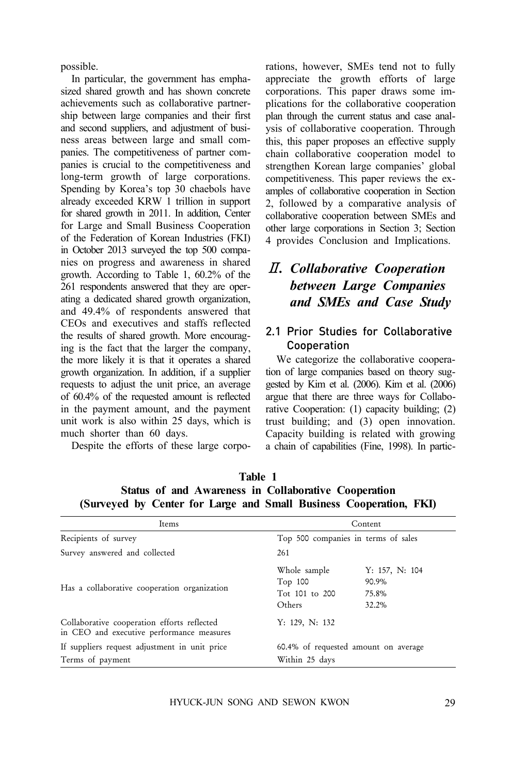possible.

In particular, the government has emphasized shared growth and has shown concrete achievements such as collaborative partnership between large companies and their first and second suppliers, and adjustment of business areas between large and small companies. The competitiveness of partner companies is crucial to the competitiveness and long-term growth of large corporations. Spending by Korea's top 30 chaebols have already exceeded KRW 1 trillion in support for shared growth in 2011. In addition, Center for Large and Small Business Cooperation of the Federation of Korean Industries (FKI) in October 2013 surveyed the top 500 companies on progress and awareness in shared growth. According to Table 1, 60.2% of the 261 respondents answered that they are operating a dedicated shared growth organization, and 49.4% of respondents answered that CEOs and executives and staffs reflected the results of shared growth. More encouraging is the fact that the larger the company, the more likely it is that it operates a shared growth organization. In addition, if a supplier requests to adjust the unit price, an average of 60.4% of the requested amount is reflected in the payment amount, and the payment unit work is also within 25 days, which is much shorter than 60 days.

Despite the efforts of these large corpo-

rations, however, SMEs tend not to fully appreciate the growth efforts of large corporations. This paper draws some implications for the collaborative cooperation plan through the current status and case analysis of collaborative cooperation. Through this, this paper proposes an effective supply chain collaborative cooperation model to strengthen Korean large companies' global competitiveness. This paper reviews the examples of collaborative cooperation in Section 2, followed by a comparative analysis of collaborative cooperation between SMEs and other large corporations in Section 3; Section 4 provides Conclusion and Implications.

# Ⅱ*. Collaborative Cooperation between Large Companies and SMEs and Case Study*

# 2.1 Prior Studies for Collaborative Cooperation

We categorize the collaborative cooperation of large companies based on theory suggested by Kim et al. (2006). Kim et al. (2006) argue that there are three ways for Collaborative Cooperation: (1) capacity building; (2) trust building; and (3) open innovation. Capacity building is related with growing a chain of capabilities (Fine, 1998). In partic-

| (Surveyed by Center for Large and Small Business Cooperation, FKI)                               |  |
|--------------------------------------------------------------------------------------------------|--|
| Content                                                                                          |  |
| Top 500 companies in terms of sales                                                              |  |
| 261                                                                                              |  |
| Whole sample<br>Y: 157, N: 104<br>Top 100<br>90.9%<br>Tot 101 to 200<br>75.8%<br>Others<br>32.2% |  |
| Y: 129, N: 132                                                                                   |  |
| 60.4% of requested amount on average                                                             |  |
|                                                                                                  |  |

**Table 1 Status of and Awareness in Collaborative Cooperation (Surveyed by Center for Large and Small Business Cooperation, FKI)** 

Terms of payment Within 25 days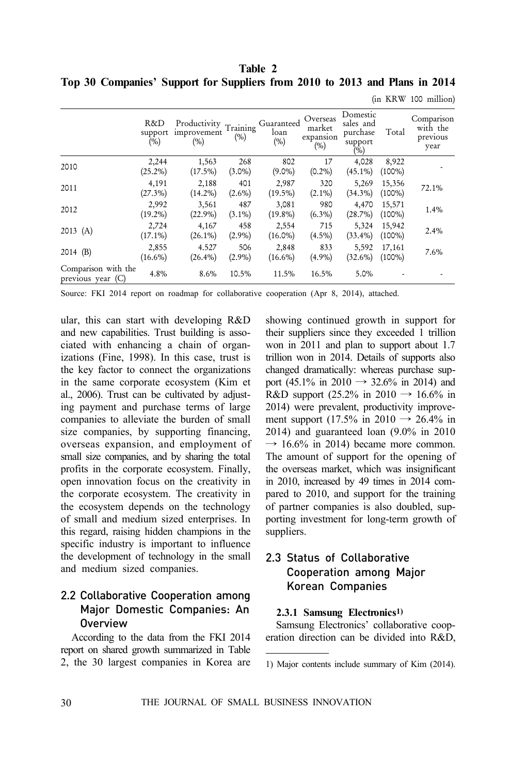**Table 2 Top 30 Companies' Support for Suppliers from 2010 to 2013 and Plans in 2014**

(in KRW 100 million)

|                                          | R&D<br>support<br>(%) | Productivity<br>improvement<br>(%) | Training<br>$(\%)$ | Guaranteed<br>loan<br>$(\%)$ | Overseas<br>market<br>expansion<br>(%) | Domestic<br>sales and<br>purchase<br>support<br>$(\%)$ | Total               | Comparison<br>with the<br>previous<br>year |
|------------------------------------------|-----------------------|------------------------------------|--------------------|------------------------------|----------------------------------------|--------------------------------------------------------|---------------------|--------------------------------------------|
| 2010                                     | 2,244<br>$(25.2\%)$   | 1,563<br>$(17.5\%)$                | 268<br>$(3.0\%)$   | 802<br>$(9.0\%)$             | 17<br>$(0.2\%)$                        | 4,028<br>$(45.1\%)$                                    | 8,922<br>$(100\%)$  |                                            |
| 2011                                     | 4,191<br>$(27.3\%)$   | 2,188<br>$(14.2\%)$                | 401<br>$(2.6\%)$   | 2,987<br>$(19.5\%)$          | 320<br>$(2.1\%)$                       | 5,269<br>$(34.3\%)$                                    | 15,356<br>$(100\%)$ | 72.1%                                      |
| 2012                                     | 2,992<br>$(19.2\%)$   | 3,561<br>$(22.9\%)$                | 487<br>$(3.1\%)$   | 3,081<br>$(19.8\%)$          | 980<br>$(6.3\%)$                       | 4,470<br>(28.7%)                                       | 15,571<br>$(100\%)$ | 1.4%                                       |
| $2013$ (A)                               | 2,724<br>$(17.1\%)$   | 4,167<br>$(26.1\%)$                | 458<br>$(2.9\%)$   | 2,554<br>$(16.0\%)$          | 715<br>$(4.5\%)$                       | 5,324<br>$(33.4\%)$                                    | 15,942<br>$(100\%)$ | 2.4%                                       |
| $2014$ (B)                               | 2,855<br>$(16.6\%)$   | 4.527<br>$(26.4\%)$                | 506<br>$(2.9\%)$   | 2,848<br>$(16.6\%)$          | 833<br>$(4.9\%)$                       | 5,592<br>$(32.6\%)$                                    | 17,161<br>$(100\%)$ | 7.6%                                       |
| Comparison with the<br>previous year (C) | 4.8%                  | 8.6%                               | 10.5%              | 11.5%                        | 16.5%                                  | 5.0%                                                   |                     |                                            |

Source: FKI 2014 report on roadmap for collaborative cooperation (Apr 8, 2014), attached.

ular, this can start with developing R&D and new capabilities. Trust building is associated with enhancing a chain of organizations (Fine, 1998). In this case, trust is the key factor to connect the organizations in the same corporate ecosystem (Kim et al., 2006). Trust can be cultivated by adjusting payment and purchase terms of large companies to alleviate the burden of small size companies, by supporting financing, overseas expansion, and employment of small size companies, and by sharing the total profits in the corporate ecosystem. Finally, open innovation focus on the creativity in the corporate ecosystem. The creativity in the ecosystem depends on the technology of small and medium sized enterprises. In this regard, raising hidden champions in the specific industry is important to influence the development of technology in the small and medium sized companies.

# 2.2 Collaborative Cooperation among Major Domestic Companies: An Overview

According to the data from the FKI 2014 report on shared growth summarized in Table 2, the 30 largest companies in Korea are

showing continued growth in support for their suppliers since they exceeded 1 trillion won in 2011 and plan to support about 1.7 trillion won in 2014. Details of supports also changed dramatically: whereas purchase support (45.1% in 2010  $\rightarrow$  32.6% in 2014) and R&D support (25.2% in 2010  $\rightarrow$  16.6% in 2014) were prevalent, productivity improvement support (17.5% in 2010  $\rightarrow$  26.4% in 2014) and guaranteed loan (9.0% in 2010  $\rightarrow$  16.6% in 2014) became more common. The amount of support for the opening of the overseas market, which was insignificant in 2010, increased by 49 times in 2014 compared to 2010, and support for the training of partner companies is also doubled, supporting investment for long-term growth of suppliers.

# 2.3 Status of Collaborative Cooperation among Major Korean Companies

#### **2.3.1 Samsung Electronics1)**

Samsung Electronics' collaborative cooperation direction can be divided into R&D,

<sup>1)</sup> Major contents include summary of Kim (2014).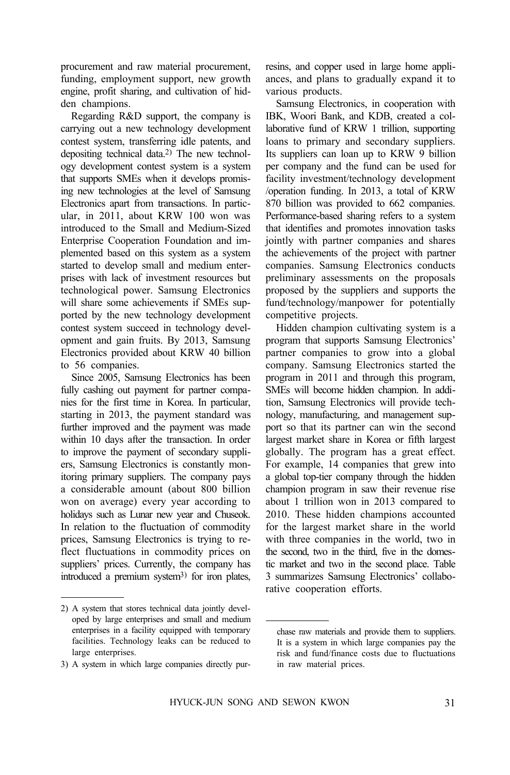procurement and raw material procurement, funding, employment support, new growth engine, profit sharing, and cultivation of hidden champions.

Regarding R&D support, the company is carrying out a new technology development contest system, transferring idle patents, and depositing technical data.2) The new technology development contest system is a system that supports SMEs when it develops promising new technologies at the level of Samsung Electronics apart from transactions. In particular, in 2011, about KRW 100 won was introduced to the Small and Medium-Sized Enterprise Cooperation Foundation and implemented based on this system as a system started to develop small and medium enterprises with lack of investment resources but technological power. Samsung Electronics will share some achievements if SMEs supported by the new technology development contest system succeed in technology development and gain fruits. By 2013, Samsung Electronics provided about KRW 40 billion to 56 companies.

Since 2005, Samsung Electronics has been fully cashing out payment for partner companies for the first time in Korea. In particular, starting in 2013, the payment standard was further improved and the payment was made within 10 days after the transaction. In order to improve the payment of secondary suppliers, Samsung Electronics is constantly monitoring primary suppliers. The company pays a considerable amount (about 800 billion won on average) every year according to holidays such as Lunar new year and Chuseok. In relation to the fluctuation of commodity prices, Samsung Electronics is trying to reflect fluctuations in commodity prices on suppliers' prices. Currently, the company has introduced a premium system3) for iron plates,

3) A system in which large companies directly pur-

resins, and copper used in large home appliances, and plans to gradually expand it to various products.

Samsung Electronics, in cooperation with IBK, Woori Bank, and KDB, created a collaborative fund of KRW 1 trillion, supporting loans to primary and secondary suppliers. Its suppliers can loan up to KRW 9 billion per company and the fund can be used for facility investment/technology development /operation funding. In 2013, a total of KRW 870 billion was provided to 662 companies. Performance-based sharing refers to a system that identifies and promotes innovation tasks jointly with partner companies and shares the achievements of the project with partner companies. Samsung Electronics conducts preliminary assessments on the proposals proposed by the suppliers and supports the fund/technology/manpower for potentially competitive projects.

Hidden champion cultivating system is a program that supports Samsung Electronics' partner companies to grow into a global company. Samsung Electronics started the program in 2011 and through this program, SMEs will become hidden champion. In addition, Samsung Electronics will provide technology, manufacturing, and management support so that its partner can win the second largest market share in Korea or fifth largest globally. The program has a great effect. For example, 14 companies that grew into a global top-tier company through the hidden champion program in saw their revenue rise about 1 trillion won in 2013 compared to 2010. These hidden champions accounted for the largest market share in the world with three companies in the world, two in the second, two in the third, five in the domestic market and two in the second place. Table 3 summarizes Samsung Electronics' collaborative cooperation efforts.

<sup>2)</sup> A system that stores technical data jointly developed by large enterprises and small and medium enterprises in a facility equipped with temporary facilities. Technology leaks can be reduced to large enterprises.

chase raw materials and provide them to suppliers. It is a system in which large companies pay the risk and fund/finance costs due to fluctuations in raw material prices.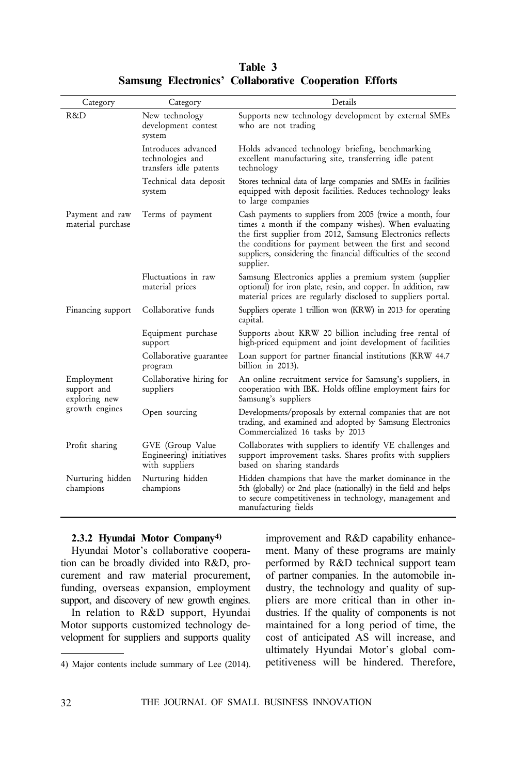| Category                                   | Category                                                          | Details                                                                                                                                                                                                                                                                                                                     |
|--------------------------------------------|-------------------------------------------------------------------|-----------------------------------------------------------------------------------------------------------------------------------------------------------------------------------------------------------------------------------------------------------------------------------------------------------------------------|
| R&D                                        | New technology                                                    | Supports new technology development by external SMEs                                                                                                                                                                                                                                                                        |
|                                            | development contest<br>system                                     | who are not trading                                                                                                                                                                                                                                                                                                         |
|                                            | Introduces advanced<br>technologies and<br>transfers idle patents | Holds advanced technology briefing, benchmarking<br>excellent manufacturing site, transferring idle patent<br>technology                                                                                                                                                                                                    |
|                                            | Technical data deposit<br>system                                  | Stores technical data of large companies and SMEs in facilities<br>equipped with deposit facilities. Reduces technology leaks<br>to large companies                                                                                                                                                                         |
| Payment and raw<br>material purchase       | Terms of payment                                                  | Cash payments to suppliers from 2005 (twice a month, four<br>times a month if the company wishes). When evaluating<br>the first supplier from 2012, Samsung Electronics reflects<br>the conditions for payment between the first and second<br>suppliers, considering the financial difficulties of the second<br>supplier. |
|                                            | Fluctuations in raw<br>material prices                            | Samsung Electronics applies a premium system (supplier<br>optional) for iron plate, resin, and copper. In addition, raw<br>material prices are regularly disclosed to suppliers portal.                                                                                                                                     |
| Financing support                          | Collaborative funds                                               | Suppliers operate 1 trillion won (KRW) in 2013 for operating<br>capital.                                                                                                                                                                                                                                                    |
|                                            | Equipment purchase<br>support                                     | Supports about KRW 20 billion including free rental of<br>high-priced equipment and joint development of facilities                                                                                                                                                                                                         |
|                                            | Collaborative guarantee<br>program                                | Loan support for partner financial institutions (KRW 44.7)<br>billion in 2013).                                                                                                                                                                                                                                             |
| Employment<br>support and<br>exploring new | Collaborative hiring for<br>suppliers                             | An online recruitment service for Samsung's suppliers, in<br>cooperation with IBK. Holds offline employment fairs for<br>Samsung's suppliers                                                                                                                                                                                |
| growth engines                             | Open sourcing                                                     | Developments/proposals by external companies that are not<br>trading, and examined and adopted by Samsung Electronics<br>Commercialized 16 tasks by 2013                                                                                                                                                                    |
| Profit sharing                             | GVE (Group Value<br>Engineering) initiatives<br>with suppliers    | Collaborates with suppliers to identify VE challenges and<br>support improvement tasks. Shares profits with suppliers<br>based on sharing standards                                                                                                                                                                         |
| Nurturing hidden<br>champions              | Nurturing hidden<br>champions                                     | Hidden champions that have the market dominance in the<br>5th (globally) or 2nd place (nationally) in the field and helps<br>to secure competitiveness in technology, management and<br>manufacturing fields                                                                                                                |

## **Table 3 Samsung Electronics' Collaborative Cooperation Efforts**

#### **2.3.2 Hyundai Motor Company4)**

Hyundai Motor's collaborative cooperation can be broadly divided into R&D, procurement and raw material procurement, funding, overseas expansion, employment support, and discovery of new growth engines.

In relation to R&D support, Hyundai Motor supports customized technology development for suppliers and supports quality improvement and R&D capability enhancement. Many of these programs are mainly performed by R&D technical support team of partner companies. In the automobile industry, the technology and quality of suppliers are more critical than in other industries. If the quality of components is not maintained for a long period of time, the cost of anticipated AS will increase, and ultimately Hyundai Motor's global competitiveness will be hindered. Therefore,

<sup>4)</sup> Major contents include summary of Lee (2014).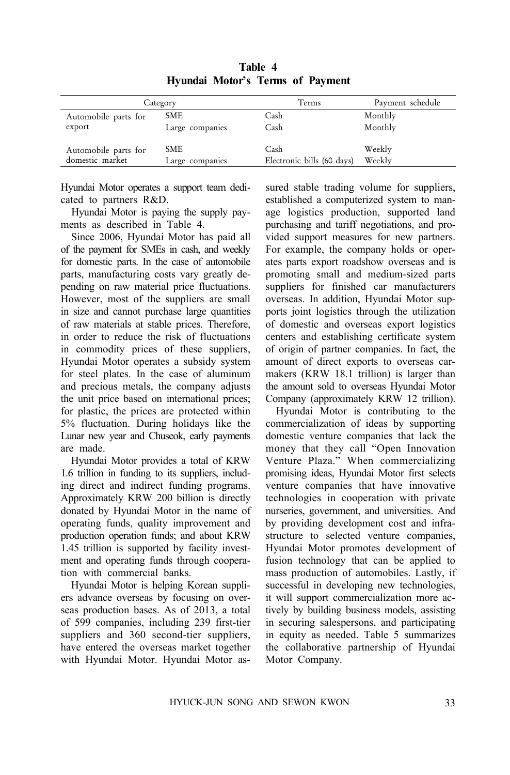|                      | Category        | Terms                      | Payment schedule |
|----------------------|-----------------|----------------------------|------------------|
| Automobile parts for | <b>SME</b>      | Cash                       | Monthly          |
| export               | Large companies | Cash                       | Monthly          |
| Automobile parts for | SME.            | Cash                       | Weekly           |
| domestic market      | Large companies | Electronic bills (60 days) | Weekly           |

**Table 4 Hyundai Motor's Terms of Payment**

Hyundai Motor operates a support team dedicated to partners R&D.

Hyundai Motor is paying the supply payments as described in Table 4.

Since 2006, Hyundai Motor has paid all of the payment for SMEs in cash, and weekly for domestic parts. In the case of automobile parts, manufacturing costs vary greatly depending on raw material price fluctuations. However, most of the suppliers are small in size and cannot purchase large quantities of raw materials at stable prices. Therefore, in order to reduce the risk of fluctuations in commodity prices of these suppliers, Hyundai Motor operates a subsidy system for steel plates. In the case of aluminum and precious metals, the company adjusts the unit price based on international prices; for plastic, the prices are protected within 5% fluctuation. During holidays like the Lunar new year and Chuseok, early payments are made.

Hyundai Motor provides a total of KRW 1.6 trillion in funding to its suppliers, including direct and indirect funding programs. Approximately KRW 200 billion is directly donated by Hyundai Motor in the name of operating funds, quality improvement and production operation funds; and about KRW 1.45 trillion is supported by facility investment and operating funds through cooperation with commercial banks.

Hyundai Motor is helping Korean suppliers advance overseas by focusing on overseas production bases. As of 2013, a total of 599 companies, including 239 first-tier suppliers and 360 second-tier suppliers, have entered the overseas market together with Hyundai Motor. Hyundai Motor assured stable trading volume for suppliers, established a computerized system to manage logistics production, supported land purchasing and tariff negotiations, and provided support measures for new partners. For example, the company holds or operates parts export roadshow overseas and is promoting small and medium-sized parts suppliers for finished car manufacturers overseas. In addition, Hyundai Motor supports joint logistics through the utilization of domestic and overseas export logistics centers and establishing certificate system of origin of partner companies. In fact, the amount of direct exports to overseas carmakers (KRW 18.1 trillion) is larger than the amount sold to overseas Hyundai Motor Company (approximately KRW 12 trillion).

Hyundai Motor is contributing to the commercialization of ideas by supporting domestic venture companies that lack the money that they call "Open Innovation Venture Plaza." When commercializing promising ideas, Hyundai Motor first selects venture companies that have innovative technologies in cooperation with private nurseries, government, and universities. And by providing development cost and infrastructure to selected venture companies, Hyundai Motor promotes development of fusion technology that can be applied to mass production of automobiles. Lastly, if successful in developing new technologies, it will support commercialization more actively by building business models, assisting in securing salespersons, and participating in equity as needed. Table 5 summarizes the collaborative partnership of Hyundai Motor Company.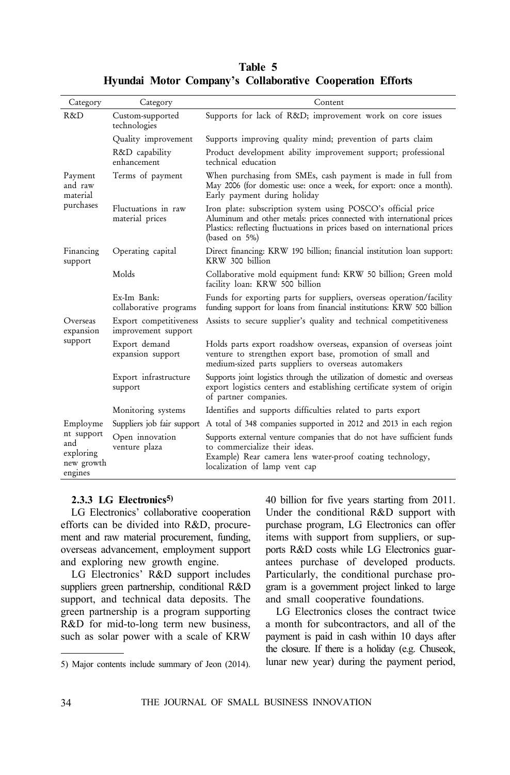| Category                                                | Category                                      | Content                                                                                                                                                                                                                             |  |  |  |  |
|---------------------------------------------------------|-----------------------------------------------|-------------------------------------------------------------------------------------------------------------------------------------------------------------------------------------------------------------------------------------|--|--|--|--|
| R&D                                                     | Custom-supported<br>technologies              | Supports for lack of R&D improvement work on core issues                                                                                                                                                                            |  |  |  |  |
|                                                         | Quality improvement                           | Supports improving quality mind; prevention of parts claim                                                                                                                                                                          |  |  |  |  |
|                                                         | R&D capability<br>enhancement                 | Product development ability improvement support; professional<br>technical education                                                                                                                                                |  |  |  |  |
| Payment<br>and raw<br>material                          | Terms of payment                              | When purchasing from SMEs, cash payment is made in full from<br>May 2006 (for domestic use: once a week, for export: once a month).<br>Early payment during holiday                                                                 |  |  |  |  |
| purchases                                               | Fluctuations in raw<br>material prices        | Iron plate: subscription system using POSCO's official price<br>Aluminum and other metals: prices connected with international prices<br>Plastics: reflecting fluctuations in prices based on international prices<br>(based on 5%) |  |  |  |  |
| Financing<br>support                                    | Operating capital                             | Direct financing: KRW 190 billion; financial institution loan support:<br>KRW 300 billion                                                                                                                                           |  |  |  |  |
|                                                         | Molds                                         | Collaborative mold equipment fund: KRW 50 billion; Green mold<br>facility loan: KRW 500 billion                                                                                                                                     |  |  |  |  |
|                                                         | Ex-Im Bank:<br>collaborative programs         | Funds for exporting parts for suppliers, overseas operation/facility<br>funding support for loans from financial institutions: KRW 500 billion                                                                                      |  |  |  |  |
| Overseas<br>expansion                                   | Export competitiveness<br>improvement support | Assists to secure supplier's quality and technical competitiveness                                                                                                                                                                  |  |  |  |  |
| support                                                 | Export demand<br>expansion support            | Holds parts export roadshow overseas, expansion of overseas joint<br>venture to strengthen export base, promotion of small and<br>medium-sized parts suppliers to overseas automakers                                               |  |  |  |  |
|                                                         | Export infrastructure<br>support              | Supports joint logistics through the utilization of domestic and overseas<br>export logistics centers and establishing certificate system of origin<br>of partner companies.                                                        |  |  |  |  |
|                                                         | Monitoring systems                            | Identifies and supports difficulties related to parts export                                                                                                                                                                        |  |  |  |  |
| Employme                                                | Suppliers job fair support                    | A total of 348 companies supported in 2012 and 2013 in each region                                                                                                                                                                  |  |  |  |  |
| nt support<br>and<br>exploring<br>new growth<br>engines | Open innovation<br>venture plaza              | Supports external venture companies that do not have sufficient funds<br>to commercialize their ideas.<br>Example) Rear camera lens water-proof coating technology,<br>localization of lamp vent cap                                |  |  |  |  |

**Table 5 Hyundai Motor Company's Collaborative Cooperation Efforts**

#### **2.3.3 LG Electronics5)**

LG Electronics' collaborative cooperation efforts can be divided into R&D, procurement and raw material procurement, funding, overseas advancement, employment support and exploring new growth engine.

LG Electronics' R&D support includes suppliers green partnership, conditional R&D support, and technical data deposits. The green partnership is a program supporting R&D for mid-to-long term new business, such as solar power with a scale of KRW

40 billion for five years starting from 2011. Under the conditional R&D support with purchase program, LG Electronics can offer items with support from suppliers, or supports R&D costs while LG Electronics guarantees purchase of developed products. Particularly, the conditional purchase program is a government project linked to large and small cooperative foundations.

LG Electronics closes the contract twice a month for subcontractors, and all of the payment is paid in cash within 10 days after the closure. If there is a holiday (e.g. Chuseok, lunar new year) during the payment period,

<sup>5)</sup> Major contents include summary of Jeon (2014).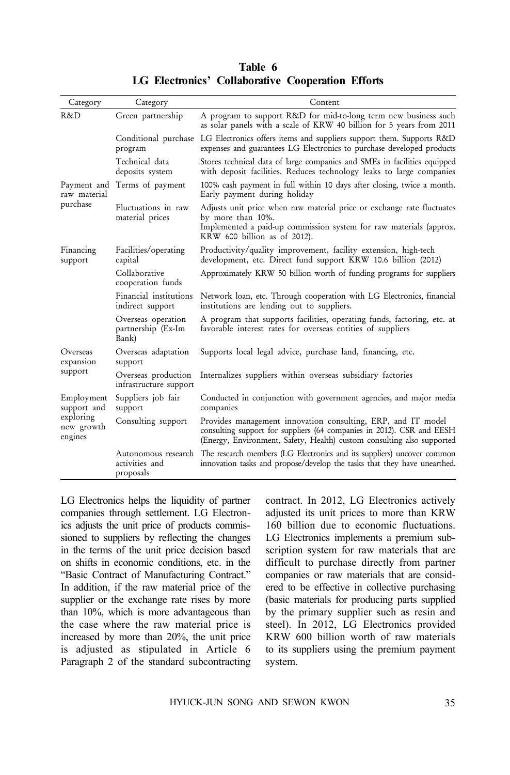| Category                           | Category                                           | Content                                                                                                                                                                                                         |
|------------------------------------|----------------------------------------------------|-----------------------------------------------------------------------------------------------------------------------------------------------------------------------------------------------------------------|
| R&D                                | Green partnership                                  | A program to support R&D for mid-to-long term new business such<br>as solar panels with a scale of KRW 40 billion for 5 years from 2011                                                                         |
|                                    | Conditional purchase<br>program                    | LG Electronics offers items and suppliers support them. Supports R&D<br>expenses and guarantees LG Electronics to purchase developed products                                                                   |
|                                    | Technical data<br>deposits system                  | Stores technical data of large companies and SMEs in facilities equipped<br>with deposit facilities. Reduces technology leaks to large companies                                                                |
| raw material                       | Payment and Terms of payment                       | 100% cash payment in full within 10 days after closing, twice a month.<br>Early payment during holiday                                                                                                          |
| purchase                           | Fluctuations in raw<br>material prices             | Adjusts unit price when raw material price or exchange rate fluctuates<br>by more than 10%.<br>Implemented a paid-up commission system for raw materials (approx.<br>KRW 600 billion as of 2012).               |
| Financing<br>support               | Facilities/operating<br>capital                    | Productivity/quality improvement, facility extension, high-tech<br>development, etc. Direct fund support KRW 10.6 billion (2012)                                                                                |
|                                    | Collaborative<br>cooperation funds                 | Approximately KRW 50 billion worth of funding programs for suppliers                                                                                                                                            |
|                                    | Financial institutions<br>indirect support         | Network loan, etc. Through cooperation with LG Electronics, financial<br>institutions are lending out to suppliers.                                                                                             |
|                                    | Overseas operation<br>partnership (Ex-Im<br>Bank)  | A program that supports facilities, operating funds, factoring, etc. at<br>favorable interest rates for overseas entities of suppliers                                                                          |
| Overseas<br>expansion              | Overseas adaptation<br>support                     | Supports local legal advice, purchase land, financing, etc.                                                                                                                                                     |
| support                            | Overseas production<br>infrastructure support      | Internalizes suppliers within overseas subsidiary factories                                                                                                                                                     |
| Employment<br>support and          | Suppliers job fair<br>support                      | Conducted in conjunction with government agencies, and major media<br>companies                                                                                                                                 |
| exploring<br>new growth<br>engines | Consulting support                                 | Provides management innovation consulting, ERP, and IT model<br>consulting support for suppliers (64 companies in 2012). CSR and EESH<br>(Energy, Environment, Safety, Health) custom consulting also supported |
|                                    | Autonomous research<br>activities and<br>proposals | The research members (LG Electronics and its suppliers) uncover common<br>innovation tasks and propose/develop the tasks that they have unearthed.                                                              |

|  | Table 6                                           |  |
|--|---------------------------------------------------|--|
|  | LG Electronics' Collaborative Cooperation Efforts |  |

LG Electronics helps the liquidity of partner companies through settlement. LG Electronics adjusts the unit price of products commissioned to suppliers by reflecting the changes in the terms of the unit price decision based on shifts in economic conditions, etc. in the "Basic Contract of Manufacturing Contract." In addition, if the raw material price of the supplier or the exchange rate rises by more than 10%, which is more advantageous than the case where the raw material price is increased by more than 20%, the unit price is adjusted as stipulated in Article 6 Paragraph 2 of the standard subcontracting contract. In 2012, LG Electronics actively adjusted its unit prices to more than KRW 160 billion due to economic fluctuations. LG Electronics implements a premium subscription system for raw materials that are difficult to purchase directly from partner companies or raw materials that are considered to be effective in collective purchasing (basic materials for producing parts supplied by the primary supplier such as resin and steel). In 2012, LG Electronics provided KRW 600 billion worth of raw materials to its suppliers using the premium payment system.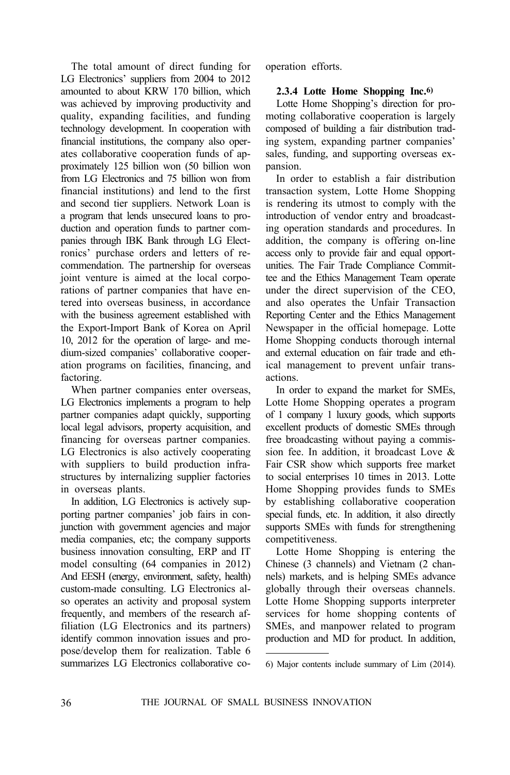The total amount of direct funding for LG Electronics' suppliers from 2004 to 2012 amounted to about KRW 170 billion, which was achieved by improving productivity and quality, expanding facilities, and funding technology development. In cooperation with financial institutions, the company also operates collaborative cooperation funds of approximately 125 billion won (50 billion won from LG Electronics and 75 billion won from financial institutions) and lend to the first and second tier suppliers. Network Loan is a program that lends unsecured loans to production and operation funds to partner companies through IBK Bank through LG Electronics' purchase orders and letters of recommendation. The partnership for overseas joint venture is aimed at the local corporations of partner companies that have entered into overseas business, in accordance with the business agreement established with the Export-Import Bank of Korea on April 10, 2012 for the operation of large- and medium-sized companies' collaborative cooperation programs on facilities, financing, and factoring.

When partner companies enter overseas, LG Electronics implements a program to help partner companies adapt quickly, supporting local legal advisors, property acquisition, and financing for overseas partner companies. LG Electronics is also actively cooperating with suppliers to build production infrastructures by internalizing supplier factories in overseas plants.

In addition, LG Electronics is actively supporting partner companies' job fairs in conjunction with government agencies and major media companies, etc; the company supports business innovation consulting, ERP and IT model consulting (64 companies in 2012) And EESH (energy, environment, safety, health) custom-made consulting. LG Electronics also operates an activity and proposal system frequently, and members of the research affiliation (LG Electronics and its partners) identify common innovation issues and propose/develop them for realization. Table 6 summarizes LG Electronics collaborative cooperation efforts.

### **2.3.4 Lotte Home Shopping Inc.6)**

Lotte Home Shopping's direction for promoting collaborative cooperation is largely composed of building a fair distribution trading system, expanding partner companies' sales, funding, and supporting overseas expansion.

In order to establish a fair distribution transaction system, Lotte Home Shopping is rendering its utmost to comply with the introduction of vendor entry and broadcasting operation standards and procedures. In addition, the company is offering on-line access only to provide fair and equal opportunities. The Fair Trade Compliance Committee and the Ethics Management Team operate under the direct supervision of the CEO, and also operates the Unfair Transaction Reporting Center and the Ethics Management Newspaper in the official homepage. Lotte Home Shopping conducts thorough internal and external education on fair trade and ethical management to prevent unfair transactions.

In order to expand the market for SMEs, Lotte Home Shopping operates a program of 1 company 1 luxury goods, which supports excellent products of domestic SMEs through free broadcasting without paying a commission fee. In addition, it broadcast Love & Fair CSR show which supports free market to social enterprises 10 times in 2013. Lotte Home Shopping provides funds to SMEs by establishing collaborative cooperation special funds, etc. In addition, it also directly supports SMEs with funds for strengthening competitiveness.

Lotte Home Shopping is entering the Chinese (3 channels) and Vietnam (2 channels) markets, and is helping SMEs advance globally through their overseas channels. Lotte Home Shopping supports interpreter services for home shopping contents of SMEs, and manpower related to program production and MD for product. In addition,

<sup>6)</sup> Major contents include summary of Lim (2014).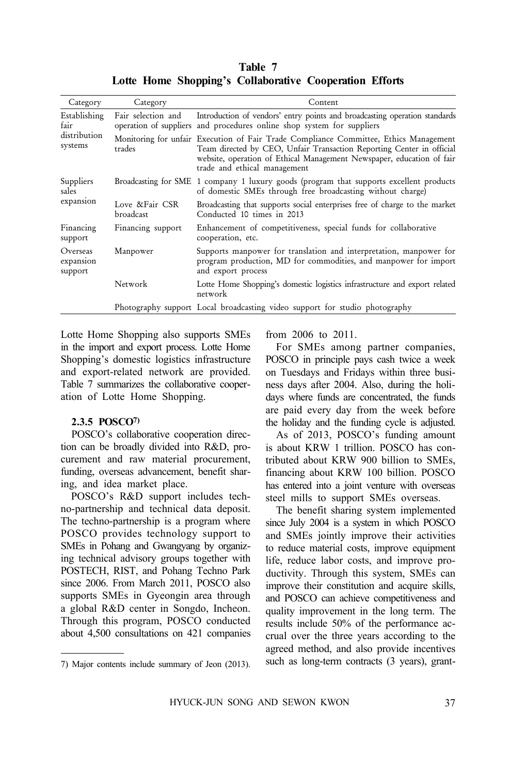Category Category Content Establishing fair distribution systems Fair selection and operation of suppliers and procedures online shop system for suppliers Introduction of vendors' entry points and broadcasting operation standards Monitoring for unfair Execution of Fair Trade Compliance Committee, Ethics Management trades Team directed by CEO, Unfair Transaction Reporting Center in official website, operation of Ethical Management Newspaper, education of fair trade and ethical management Suppliers sales expansion Broadcasting for SME 1 company 1 luxury goods (program that supports excellent products of domestic SMEs through free broadcasting without charge) Love &Fair CSR broadcast Broadcasting that supports social enterprises free of charge to the market Conducted 10 times in 2013 Financing support Financing support Enhancement of competitiveness, special funds for collaborative cooperation, etc. Overseas expansion support Manpower Supports manpower for translation and interpretation, manpower for program production, MD for commodities, and manpower for import and export process Network Lotte Home Shopping's domestic logistics infrastructure and export related network Photography support Local broadcasting video support for studio photography

**Table 7 Lotte Home Shopping's Collaborative Cooperation Efforts**

Lotte Home Shopping also supports SMEs in the import and export process. Lotte Home Shopping's domestic logistics infrastructure and export-related network are provided. Table 7 summarizes the collaborative cooperation of Lotte Home Shopping.

#### **2.3.5 POSCO7)**

POSCO's collaborative cooperation direction can be broadly divided into R&D, procurement and raw material procurement, funding, overseas advancement, benefit sharing, and idea market place.

POSCO's R&D support includes techno-partnership and technical data deposit. The techno-partnership is a program where POSCO provides technology support to SMEs in Pohang and Gwangyang by organizing technical advisory groups together with POSTECH, RIST, and Pohang Techno Park since 2006. From March 2011, POSCO also supports SMEs in Gyeongin area through a global R&D center in Songdo, Incheon. Through this program, POSCO conducted about 4,500 consultations on 421 companies

from 2006 to 2011.

For SMEs among partner companies, POSCO in principle pays cash twice a week on Tuesdays and Fridays within three business days after 2004. Also, during the holidays where funds are concentrated, the funds are paid every day from the week before the holiday and the funding cycle is adjusted.

As of 2013, POSCO's funding amount is about KRW 1 trillion. POSCO has contributed about KRW 900 billion to SMEs, financing about KRW 100 billion. POSCO has entered into a joint venture with overseas steel mills to support SMEs overseas.

The benefit sharing system implemented since July 2004 is a system in which POSCO and SMEs jointly improve their activities to reduce material costs, improve equipment life, reduce labor costs, and improve productivity. Through this system, SMEs can improve their constitution and acquire skills, and POSCO can achieve competitiveness and quality improvement in the long term. The results include 50% of the performance accrual over the three years according to the agreed method, and also provide incentives such as long-term contracts (3 years), grant-

<sup>7)</sup> Major contents include summary of Jeon (2013).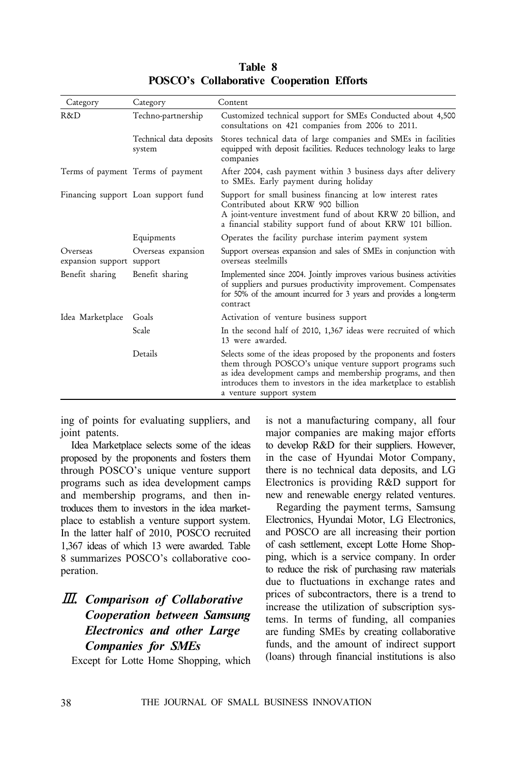| Category                              | Category                            | Content                                                                                                                                                                                                                                                                                       |  |  |
|---------------------------------------|-------------------------------------|-----------------------------------------------------------------------------------------------------------------------------------------------------------------------------------------------------------------------------------------------------------------------------------------------|--|--|
| R&D                                   | Techno-partnership                  | Customized technical support for SMEs Conducted about 4,500<br>consultations on 421 companies from 2006 to 2011.                                                                                                                                                                              |  |  |
|                                       | Technical data deposits<br>system   | Stores technical data of large companies and SMEs in facilities<br>equipped with deposit facilities. Reduces technology leaks to large<br>companies                                                                                                                                           |  |  |
|                                       | Terms of payment Terms of payment   | After 2004, cash payment within 3 business days after delivery<br>to SMEs. Early payment during holiday                                                                                                                                                                                       |  |  |
|                                       | Financing support Loan support fund | Support for small business financing at low interest rates<br>Contributed about KRW 900 billion<br>A joint-venture investment fund of about KRW 20 billion, and<br>a financial stability support fund of about KRW 101 billion.                                                               |  |  |
|                                       | Equipments                          | Operates the facility purchase interim payment system                                                                                                                                                                                                                                         |  |  |
| Overseas<br>expansion support support | Overseas expansion                  | Support overseas expansion and sales of SMEs in conjunction with<br>overseas steelmills                                                                                                                                                                                                       |  |  |
| Benefit sharing                       | Benefit sharing                     | Implemented since 2004. Jointly improves various business activities<br>of suppliers and pursues productivity improvement. Compensates<br>for 50% of the amount incurred for 3 years and provides a long-term<br>contract                                                                     |  |  |
| Idea Marketplace                      | Goals                               | Activation of venture business support                                                                                                                                                                                                                                                        |  |  |
|                                       | Scale                               | In the second half of 2010, 1,367 ideas were recruited of which<br>13 were awarded.                                                                                                                                                                                                           |  |  |
|                                       | Details                             | Selects some of the ideas proposed by the proponents and fosters<br>them through POSCO's unique venture support programs such<br>as idea development camps and membership programs, and then<br>introduces them to investors in the idea marketplace to establish<br>a venture support system |  |  |

**Table 8 POSCO's Collaborative Cooperation Efforts**

ing of points for evaluating suppliers, and joint patents.

Idea Marketplace selects some of the ideas proposed by the proponents and fosters them through POSCO's unique venture support programs such as idea development camps and membership programs, and then introduces them to investors in the idea marketplace to establish a venture support system. In the latter half of 2010, POSCO recruited 1,367 ideas of which 13 were awarded. Table 8 summarizes POSCO's collaborative cooperation.

# Ⅲ*. Comparison of Collaborative Cooperation between Samsung Electronics and other Large Companies for SMEs*

Except for Lotte Home Shopping, which

is not a manufacturing company, all four major companies are making major efforts to develop R&D for their suppliers. However, in the case of Hyundai Motor Company, there is no technical data deposits, and LG Electronics is providing R&D support for new and renewable energy related ventures.

Regarding the payment terms, Samsung Electronics, Hyundai Motor, LG Electronics, and POSCO are all increasing their portion of cash settlement, except Lotte Home Shopping, which is a service company. In order to reduce the risk of purchasing raw materials due to fluctuations in exchange rates and prices of subcontractors, there is a trend to increase the utilization of subscription systems. In terms of funding, all companies are funding SMEs by creating collaborative funds, and the amount of indirect support (loans) through financial institutions is also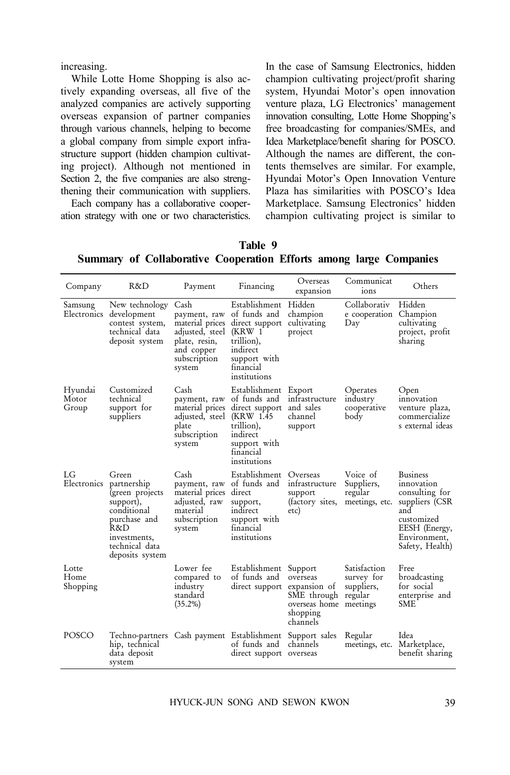increasing.

While Lotte Home Shopping is also actively expanding overseas, all five of the analyzed companies are actively supporting overseas expansion of partner companies through various channels, helping to become a global company from simple export infrastructure support (hidden champion cultivating project). Although not mentioned in Section 2, the five companies are also strengthening their communication with suppliers.

Each company has a collaborative cooperation strategy with one or two characteristics. In the case of Samsung Electronics, hidden champion cultivating project/profit sharing system, Hyundai Motor's open innovation venture plaza, LG Electronics' management innovation consulting, Lotte Home Shopping's free broadcasting for companies/SMEs, and Idea Marketplace/benefit sharing for POSCO. Although the names are different, the contents themselves are similar. For example, Hyundai Motor's Open Innovation Venture Plaza has similarities with POSCO's Idea Marketplace. Samsung Electronics' hidden champion cultivating project is similar to

**Table 9 Summary of Collaborative Cooperation Efforts among large Companies**

| Company                   | R&D                                                                                                                                                         | Payment                                                                                                             | Financing                                                                                                                                     | Overseas<br>expansion                                                     | Communicat<br>ions                                  | Others                                                                                                                                     |
|---------------------------|-------------------------------------------------------------------------------------------------------------------------------------------------------------|---------------------------------------------------------------------------------------------------------------------|-----------------------------------------------------------------------------------------------------------------------------------------------|---------------------------------------------------------------------------|-----------------------------------------------------|--------------------------------------------------------------------------------------------------------------------------------------------|
| Samsung                   | New technology<br>Electronics development<br>contest system,<br>technical data<br>deposit system                                                            | Cash<br>payment, raw<br>material prices<br>adjusted, steel<br>plate, resin,<br>and copper<br>subscription<br>system | Establishment Hidden<br>of funds and<br>direct support<br>(KRW 1)<br>trillion),<br>indirect<br>support with<br>financial<br>institutions      | champion<br>cultivating<br>project                                        | Collaborativ<br>e cooperation<br>Day                | Hidden<br>Champion<br>cultivating<br>project, profit<br>sharing                                                                            |
| Hyundai<br>Motor<br>Group | Customized<br>technical<br>support for<br>suppliers                                                                                                         | Cash<br>payment, raw<br>adjusted, steel (KRW 1.45<br>plate<br>subscription<br>system                                | Establishment Export<br>of funds and<br>material prices direct support<br>trillion),<br>indirect<br>support with<br>financial<br>institutions | infrastructure<br>and sales<br>channel<br>support                         | Operates<br>industry<br>cooperative<br>body         | Open<br>innovation<br>venture plaza,<br>commercialize<br>s external ideas                                                                  |
| LG                        | Green<br>Electronics partnership<br>(green projects<br>support),<br>conditional<br>purchase and<br>R&D<br>investments,<br>technical data<br>deposits system | Cash<br>payment, raw<br>material prices<br>adjusted, raw<br>material<br>subscription<br>system                      | Establishment Overseas<br>of funds and<br>direct<br>support,<br>indirect<br>support with<br>financial<br>institutions                         | infrastructure<br>support<br>(factory sites,<br>etc)                      | Voice of<br>Suppliers,<br>regular<br>meetings, etc. | <b>Business</b><br>innovation<br>consulting for<br>suppliers (CSR<br>and<br>customized<br>EESH (Energy,<br>Environment,<br>Safety, Health) |
| Lotte<br>Home<br>Shopping |                                                                                                                                                             | Lower fee<br>compared to<br>industry<br>standard<br>$(35.2\%)$                                                      | Establishment Support<br>of funds and<br>direct support expansion of                                                                          | overseas<br>SME through<br>overseas home meetings<br>shopping<br>channels | Satisfaction<br>survey for<br>suppliers,<br>regular | Free<br>broadcasting<br>for social<br>enterprise and<br>SME                                                                                |
| POSCO                     | Techno-partners Cash payment Establishment Support sales<br>hip, technical<br>data deposit<br>system                                                        |                                                                                                                     | of funds and<br>direct support overseas                                                                                                       | channels                                                                  | Regular<br>meetings, etc. Marketplace,              | Idea<br>benefit sharing                                                                                                                    |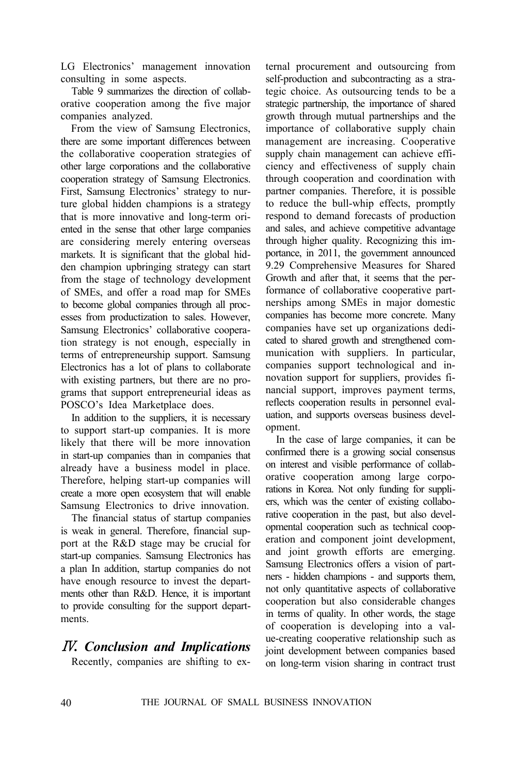LG Electronics' management innovation consulting in some aspects.

Table 9 summarizes the direction of collaborative cooperation among the five major companies analyzed.

From the view of Samsung Electronics, there are some important differences between the collaborative cooperation strategies of other large corporations and the collaborative cooperation strategy of Samsung Electronics. First, Samsung Electronics' strategy to nurture global hidden champions is a strategy that is more innovative and long-term oriented in the sense that other large companies are considering merely entering overseas markets. It is significant that the global hidden champion upbringing strategy can start from the stage of technology development of SMEs, and offer a road map for SMEs to become global companies through all processes from productization to sales. However, Samsung Electronics' collaborative cooperation strategy is not enough, especially in terms of entrepreneurship support. Samsung Electronics has a lot of plans to collaborate with existing partners, but there are no programs that support entrepreneurial ideas as POSCO's Idea Marketplace does.

In addition to the suppliers, it is necessary to support start-up companies. It is more likely that there will be more innovation in start-up companies than in companies that already have a business model in place. Therefore, helping start-up companies will create a more open ecosystem that will enable Samsung Electronics to drive innovation.

The financial status of startup companies is weak in general. Therefore, financial support at the R&D stage may be crucial for start-up companies. Samsung Electronics has a plan In addition, startup companies do not have enough resource to invest the departments other than R&D. Hence, it is important to provide consulting for the support departments.

# Ⅳ*. Conclusion and Implications*

Recently, companies are shifting to ex-

ternal procurement and outsourcing from self-production and subcontracting as a strategic choice. As outsourcing tends to be a strategic partnership, the importance of shared growth through mutual partnerships and the importance of collaborative supply chain management are increasing. Cooperative supply chain management can achieve efficiency and effectiveness of supply chain through cooperation and coordination with partner companies. Therefore, it is possible to reduce the bull-whip effects, promptly respond to demand forecasts of production and sales, and achieve competitive advantage through higher quality. Recognizing this importance, in 2011, the government announced 9.29 Comprehensive Measures for Shared Growth and after that, it seems that the performance of collaborative cooperative partnerships among SMEs in major domestic companies has become more concrete. Many companies have set up organizations dedicated to shared growth and strengthened communication with suppliers. In particular, companies support technological and innovation support for suppliers, provides financial support, improves payment terms, reflects cooperation results in personnel evaluation, and supports overseas business development.

In the case of large companies, it can be confirmed there is a growing social consensus on interest and visible performance of collaborative cooperation among large corporations in Korea. Not only funding for suppliers, which was the center of existing collaborative cooperation in the past, but also developmental cooperation such as technical cooperation and component joint development, and joint growth efforts are emerging. Samsung Electronics offers a vision of partners - hidden champions - and supports them, not only quantitative aspects of collaborative cooperation but also considerable changes in terms of quality. In other words, the stage of cooperation is developing into a value-creating cooperative relationship such as joint development between companies based on long-term vision sharing in contract trust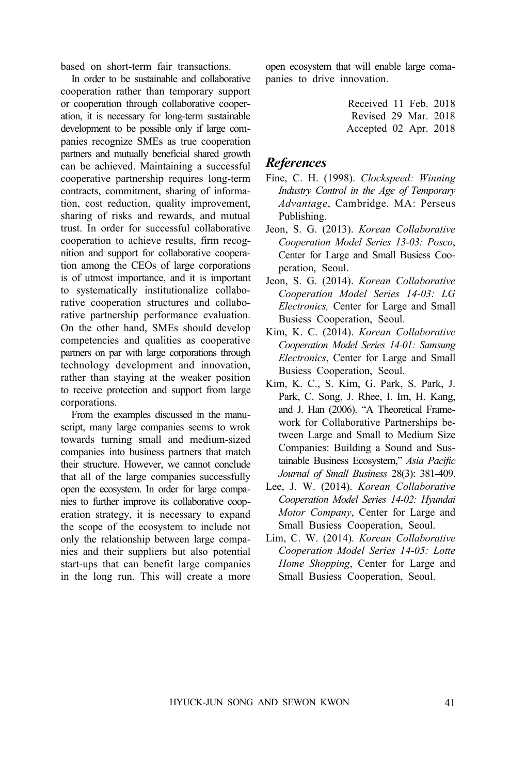based on short-term fair transactions.

In order to be sustainable and collaborative cooperation rather than temporary support or cooperation through collaborative cooperation, it is necessary for long-term sustainable development to be possible only if large companies recognize SMEs as true cooperation partners and mutually beneficial shared growth can be achieved. Maintaining a successful cooperative partnership requires long-term contracts, commitment, sharing of information, cost reduction, quality improvement, sharing of risks and rewards, and mutual trust. In order for successful collaborative cooperation to achieve results, firm recognition and support for collaborative cooperation among the CEOs of large corporations is of utmost importance, and it is important to systematically institutionalize collaborative cooperation structures and collaborative partnership performance evaluation. On the other hand, SMEs should develop competencies and qualities as cooperative partners on par with large corporations through technology development and innovation, rather than staying at the weaker position to receive protection and support from large corporations.

From the examples discussed in the manuscript, many large companies seems to wrok towards turning small and medium-sized companies into business partners that match their structure. However, we cannot conclude that all of the large companies successfully open the ecosystem. In order for large companies to further improve its collaborative cooperation strategy, it is necessary to expand the scope of the ecosystem to include not only the relationship between large companies and their suppliers but also potential start-ups that can benefit large companies in the long run. This will create a more open ecosystem that will enable large comapanies to drive innovation.

> Received 11 Feb. 2018 Revised 29 Mar. 2018 Accepted 02 Apr. 2018

## *References*

- Fine, C. H. (1998). *Clockspeed: Winning Industry Control in the Age of Temporary Advantage*, Cambridge. MA: Perseus Publishing.
- Jeon, S. G. (2013). *Korean Collaborative Cooperation Model Series 13-03: Posco*, Center for Large and Small Busiess Cooperation, Seoul.
- Jeon, S. G. (2014). *Korean Collaborative Cooperation Model Series 14-03: LG Electronics,* Center for Large and Small Busiess Cooperation, Seoul.
- Kim, K. C. (2014). *Korean Collaborative Cooperation Model Series 14-01: Samsung Electronics*, Center for Large and Small Busiess Cooperation, Seoul.
- Kim, K. C., S. Kim, G. Park, S. Park, J. Park, C. Song, J. Rhee, I. Im, H. Kang, and J. Han (2006). "A Theoretical Framework for Collaborative Partnerships between Large and Small to Medium Size Companies: Building a Sound and Sustainable Business Ecosystem," *Asia Pacific Journal of Small Business* 28(3): 381-409.
- Lee, J. W. (2014). *Korean Collaborative Cooperation Model Series 14-02: Hyundai Motor Company*, Center for Large and Small Busiess Cooperation, Seoul.
- Lim, C. W. (2014). *Korean Collaborative Cooperation Model Series 14-05: Lotte Home Shopping*, Center for Large and Small Busiess Cooperation, Seoul.